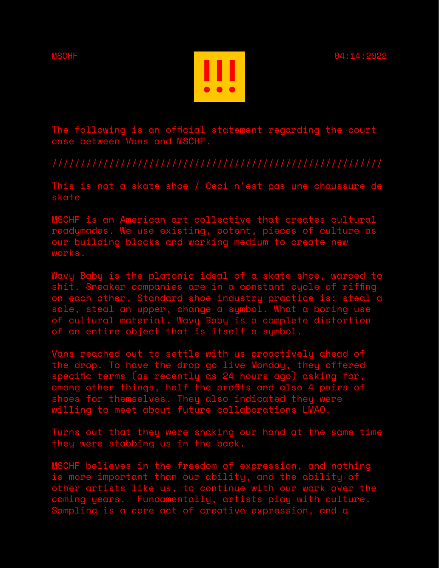

The following is an official statement regarding the court case between Vans and MSCHF.

This is not a skate shoe / Ceci n'est pas une chaussure de skate

MSCHF is an American art collective that creates cultural readymades. We use existing, potent, pieces of culture as our building blocks and working medium to create new works.

Wavy Baby is the platonic ideal of a skate shoe, warped to shit. Sneaker companies are in a constant cycle of riffing on each other. Standard shoe industry practice is: steal a sole, steal an upper, change a symbol. What a boring use of cultural material. Wavy Baby is a complete distortion of an entire object that is itself a symbol.

Vans reached out to settle with us proactively ahead of the drop. To have the drop go live Monday, they offered specific terms (as recently as 24 hours ago) asking for, among other things, half the profits and also 4 pairs of shoes for themselves. They also indicated they were willing to meet about future collaborations LMAO.

Turns out that they were shaking our hand at the same time they were stabbing us in the back.

MSCHF believes in the freedom of expression, and nothing is more important than our ability, and the ability of other artists like us, to continue with our work over the coming years. Fundamentally, artists play with culture. Sampling is a core act of creative expression, and a